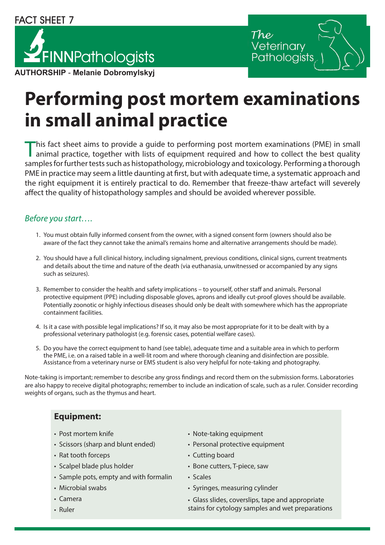# FINNPathologists **AUTHORSHIP** - **Melanie Dobromylskyj**



## **Performing post mortem examinations in small animal practice**

This fact sheet aims to provide a guide to performing post mortem examinations (PME) in small animal practice, together with lists of equipment required and how to collect the best quality samples for further tests such as histopathology, microbiology and toxicology. Performing a thorough PME in practice may seem a little daunting at first, but with adequate time, a systematic approach and the right equipment it is entirely practical to do. Remember that freeze-thaw artefact will severely affect the quality of histopathology samples and should be avoided wherever possible.

#### *Before you start….*

- 1. You must obtain fully informed consent from the owner, with a signed consent form (owners should also be aware of the fact they cannot take the animal's remains home and alternative arrangements should be made).
- 2. You should have a full clinical history, including signalment, previous conditions, clinical signs, current treatments and details about the time and nature of the death (via euthanasia, unwitnessed or accompanied by any signs such as seizures).
- 3. Remember to consider the health and safety implications to yourself, other staff and animals. Personal protective equipment (PPE) including disposable gloves, aprons and ideally cut-proof gloves should be available. Potentially zoonotic or highly infectious diseases should only be dealt with somewhere which has the appropriate containment facilities.
- 4. Is it a case with possible legal implications? If so, it may also be most appropriate for it to be dealt with by a professional veterinary pathologist (e.g. forensic cases, potential welfare cases).
- 5. Do you have the correct equipment to hand (see table), adequate time and a suitable area in which to perform the PME, i.e. on a raised table in a well-lit room and where thorough cleaning and disinfection are possible. Assistance from a veterinary nurse or EMS student is also very helpful for note-taking and photography.

Note-taking is important; remember to describe any gross findings and record them on the submission forms. Laboratories are also happy to receive digital photographs; remember to include an indication of scale, such as a ruler. Consider recording weights of organs, such as the thymus and heart.

#### **Equipment:**

- 
- Scissors (sharp and blunt ended) Personal protective equipment
- Rat tooth forceps Cutting board
- 
- Sample pots, empty and with formalin Scales
- 
- 
- 
- Post mortem knife Note-taking equipment
	-
	-
- Scalpel blade plus holder **•** Bone cutters, T-piece, saw
	-
- Microbial swabs Syringes, measuring cylinder
- Camera Glass slides, coverslips, tape and appropriate • Ruler stains for cytology samples and wet preparations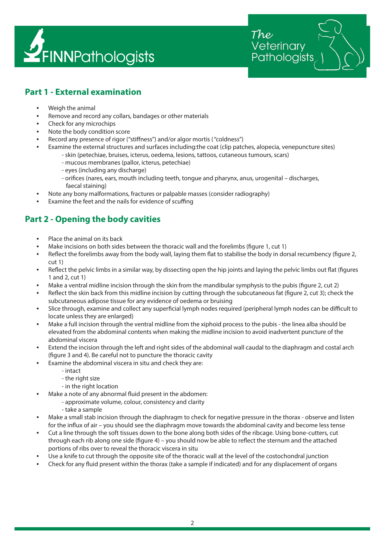

'eterinarv Pathologists

#### **Part 1 - External examination**

- **•** Weigh the animal
- **•** Remove and record any collars, bandages or other materials
- **•** Check for any microchips
- **•** Note the body condition score
- **•** Record any presence of rigor ("stiffness") and/or algor mortis ( "coldness")
- **•** Examine the external structures and surfaces including:the coat (clip patches, alopecia, venepuncture sites) - skin (petechiae, bruises, icterus, oedema, lesions, tattoos, cutaneous tumours, scars)
	- mucous membranes (pallor, icterus, petechiae)
	- eyes (including any discharge)
	- orifices (nares, ears, mouth including teeth, tongue and pharynx, anus, urogenital discharges, faecal staining)
- **•** Note any bony malformations, fractures or palpable masses (consider radiography)
- **•** Examine the feet and the nails for evidence of scuffing

#### **Part 2 - Opening the body cavities**

- **•** Place the animal on its back
- **•** Make incisions on both sides between the thoracic wall and the forelimbs (figure 1, cut 1)
- **•** Reflect the forelimbs away from the body wall, laying them flat to stabilise the body in dorsal recumbency (figure 2, cut 1)
- **•** Reflect the pelvic limbs in a similar way, by dissecting open the hip joints and laying the pelvic limbs out flat (figures 1 and 2, cut 1)
- **•** Make a ventral midline incision through the skin from the mandibular symphysis to the pubis (figure 2, cut 2)
- **•** Reflect the skin back from this midline incision by cutting through the subcutaneous fat (figure 2, cut 3); check the subcutaneous adipose tissue for any evidence of oedema or bruising
- **•** Slice through, examine and collect any superficial lymph nodes required (peripheral lymph nodes can be difficult to locate unless they are enlarged)
- **•** Make a full incision through the ventral midline from the xiphoid process to the pubis the linea alba should be elevated from the abdominal contents when making the midline incision to avoid inadvertent puncture of the abdominal viscera
- **•** Extend the incision through the left and right sides of the abdominal wall caudal to the diaphragm and costal arch (figure 3 and 4). Be careful not to puncture the thoracic cavity
- **•** Examine the abdominal viscera in situ and check they are:
	- intact
		- the right size
		- in the right location
- **•** Make a note of any abnormal fluid present in the abdomen:
	- approximate volume, colour, consistency and clarity
	- take a sample
- **•** Make a small stab incision through the diaphragm to check for negative pressure in the thorax observe and listen for the influx of air – you should see the diaphragm move towards the abdominal cavity and become less tense
- **•** Cut a line through the soft tissues down to the bone along both sides of the ribcage. Using bone-cutters, cut through each rib along one side (figure 4) – you should now be able to reflect the sternum and the attached portions of ribs over to reveal the thoracic viscera in situ
- **•** Use a knife to cut through the opposite site of the thoracic wall at the level of the costochondral junction
- **•** Check for any fluid present within the thorax (take a sample if indicated) and for any displacement of organs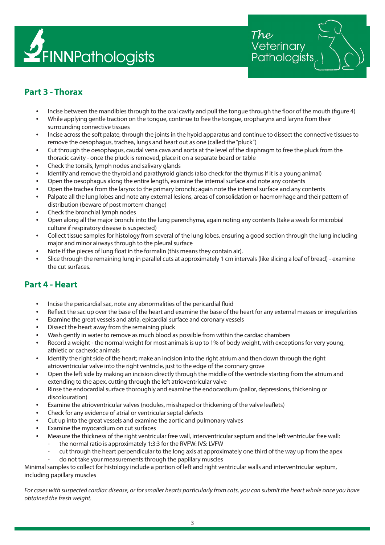

'eterinary Pathologists

## **Part 3 - Thorax**

- **•** Incise between the mandibles through to the oral cavity and pull the tongue through the floor of the mouth (figure 4)
- **•** While applying gentle traction on the tongue, continue to free the tongue, oropharynx and larynx from their surrounding connective tissues
- **•** Incise across the soft palate, through the joints in the hyoid apparatus and continue to dissect the connective tissues to remove the oesophagus, trachea, lungs and heart out as one (called the "pluck")
- **•** Cut through the oesophagus, caudal vena cava and aorta at the level of the diaphragm to free the pluck from the thoracic cavity - once the pluck is removed, place it on a separate board or table
- **•** Check the tonsils, lymph nodes and salivary glands
- **•** Identify and remove the thyroid and parathyroid glands (also check for the thymus if it is a young animal)
- **•** Open the oesophagus along the entire length, examine the internal surface and note any contents
- **•** Open the trachea from the larynx to the primary bronchi; again note the internal surface and any contents
- **•** Palpate all the lung lobes and note any external lesions, areas of consolidation or haemorrhage and their pattern of distribution (beware of post mortem change)
- **•** Check the bronchial lymph nodes
- **•** Open along all the major bronchi into the lung parenchyma, again noting any contents (take a swab for microbial culture if respiratory disease is suspected)
- **•** Collect tissue samples for histology from several of the lung lobes, ensuring a good section through the lung including major and minor airways through to the pleural surface
- **•** Note if the pieces of lung float in the formalin (this means they contain air).
- **•** Slice through the remaining lung in parallel cuts at approximately 1 cm intervals (like slicing a loaf of bread) examine the cut surfaces.

#### **Part 4 - Heart**

- **•** Incise the pericardial sac, note any abnormalities of the pericardial fluid
- **•** Reflect the sac up over the base of the heart and examine the base of the heart for any external masses or irregularities
- **•** Examine the great vessels and atria, epicardial surface and coronary vessels
- **•** Dissect the heart away from the remaining pluck
- **•** Wash gently in water to remove as much blood as possible from within the cardiac chambers
- **•** Record a weight the normal weight for most animals is up to 1% of body weight, with exceptions for very young, athletic or cachexic animals
- **•** Identify the right side of the heart; make an incision into the right atrium and then down through the right atrioventricular valve into the right ventricle, just to the edge of the coronary grove
- **•** Open the left side by making an incision directly through the middle of the ventricle starting from the atrium and extending to the apex, cutting through the left atrioventricular valve
- **•** Rinse the endocardial surface thoroughly and examine the endocardium (pallor, depressions, thickening or discolouration)
- **•** Examine the atrioventricular valves (nodules, misshaped or thickening of the valve leaflets)
- **•** Check for any evidence of atrial or ventricular septal defects
- **•** Cut up into the great vessels and examine the aortic and pulmonary valves
- **•** Examine the myocardium on cut surfaces
- **•** Measure the thickness of the right ventricular free wall, interventricular septum and the left ventricular free wall:
	- the normal ratio is approximately 1:3:3 for the RVFW: IVS: LVFW
	- cut through the heart perpendicular to the long axis at approximately one third of the way up from the apex
		- do not take your measurements through the papillary muscles

Minimal samples to collect for histology include a portion of left and right ventricular walls and interventricular septum, including papillary muscles

*For cases with suspected cardiac disease, or for smaller hearts particularly from cats, you can submit the heart whole once you have obtained the fresh weight.*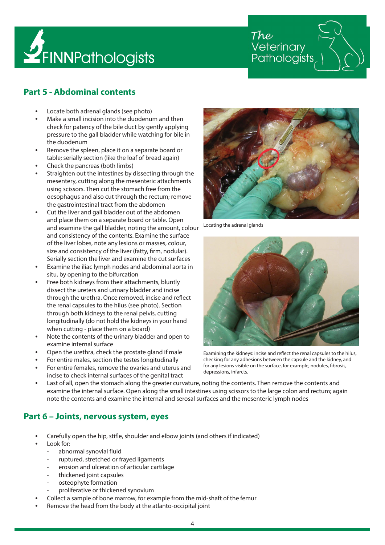

Veterinary Pathologists

#### **Part 5 - Abdominal contents**

- **•** Locate both adrenal glands (see photo)
- **•** Make a small incision into the duodenum and then check for patency of the bile duct by gently applying pressure to the gall bladder while watching for bile in the duodenum
- **•** Remove the spleen, place it on a separate board or table; serially section (like the loaf of bread again)
- **•** Check the pancreas (both limbs)
- **•** Straighten out the intestines by dissecting through the mesentery, cutting along the mesenteric attachments using scissors. Then cut the stomach free from the oesophagus and also cut through the rectum; remove the gastrointestinal tract from the abdomen
- **•** Cut the liver and gall bladder out of the abdomen and place them on a separate board or table. Open and examine the gall bladder, noting the amount, colour and consistency of the contents. Examine the surface of the liver lobes, note any lesions or masses, colour, size and consistency of the liver (fatty, firm, nodular). Serially section the liver and examine the cut surfaces
- **•** Examine the iliac lymph nodes and abdominal aorta in situ, by opening to the bifurcation
- **•** Free both kidneys from their attachments, bluntly dissect the ureters and urinary bladder and incise through the urethra. Once removed, incise and reflect the renal capsules to the hilus (see photo). Section through both kidneys to the renal pelvis, cutting longitudinally (do not hold the kidneys in your hand when cutting - place them on a board)
- **•** Note the contents of the urinary bladder and open to examine internal surface
- **•** Open the urethra, check the prostate gland if male
- **•** For entire males, section the testes longitudinally
- **•** For entire females, remove the ovaries and uterus and incise to check internal surfaces of the genital tract



Locating the adrenal glands



Examining the kidneys: incise and reflect the renal capsules to the hilus, checking for any adhesions between the capsule and the kidney, and for any lesions visible on the surface, for example, nodules, fibrosis, depressions, infarcts.

**•** Last of all, open the stomach along the greater curvature, noting the contents. Then remove the contents and examine the internal surface. Open along the small intestines using scissors to the large colon and rectum; again note the contents and examine the internal and serosal surfaces and the mesenteric lymph nodes

#### **Part 6 – Joints, nervous system, eyes**

- **•** Carefully open the hip, stifle, shoulder and elbow joints (and others if indicated)
- **•** Look for:
	- abnormal synovial fluid
	- ruptured, stretched or frayed ligaments
	- erosion and ulceration of articular cartilage
	- thickened joint capsules
	- osteophyte formation
	- proliferative or thickened synovium
	- **•** Collect a sample of bone marrow, for example from the mid-shaft of the femur
- **•** Remove the head from the body at the atlanto-occipital joint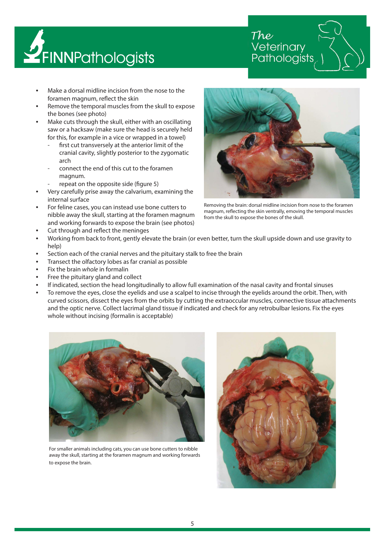

Veterinary Pathologists

- **•** Make a dorsal midline incision from the nose to the foramen magnum, reflect the skin
- **•** Remove the temporal muscles from the skull to expose the bones (see photo)
- **•** Make cuts through the skull, either with an oscillating saw or a hacksaw (make sure the head is securely held for this, for example in a vice or wrapped in a towel)
	- first cut transversely at the anterior limit of the cranial cavity, slightly posterior to the zygomatic arch
	- connect the end of this cut to the foramen magnum.
	- repeat on the opposite side (figure 5)
- **•** Very carefully prise away the calvarium, examining the internal surface
- **•** For feline cases, you can instead use bone cutters to nibble away the skull, starting at the foramen magnum and working forwards to expose the brain (see photos)



Removing the brain: dorsal midline incision from nose to the foramen magnum, reflecting the skin ventrally, emoving the temporal muscles from the skull to expose the bones of the skull.

- **•** Cut through and reflect the meninges
- **•** Working from back to front, gently elevate the brain (or even better, turn the skull upside down and use gravity to help)
- **•** Section each of the cranial nerves and the pituitary stalk to free the brain
- **•** Transect the olfactory lobes as far cranial as possible
- **•** Fix the brain *whole* in formalin
- **•** Free the pituitary gland and collect
- **•** If indicated, section the head longitudinally to allow full examination of the nasal cavity and frontal sinuses
- **•** To remove the eyes, close the eyelids and use a scalpel to incise through the eyelids around the orbit. Then, with curved scissors, dissect the eyes from the orbits by cutting the extraoccular muscles, connective tissue attachments and the optic nerve. Collect lacrimal gland tissue if indicated and check for any retrobulbar lesions. Fix the eyes whole without incising (formalin is acceptable)



For smaller animals including cats, you can use bone cutters to nibble away the skull, starting at the foramen magnum and working forwards to expose the brain.

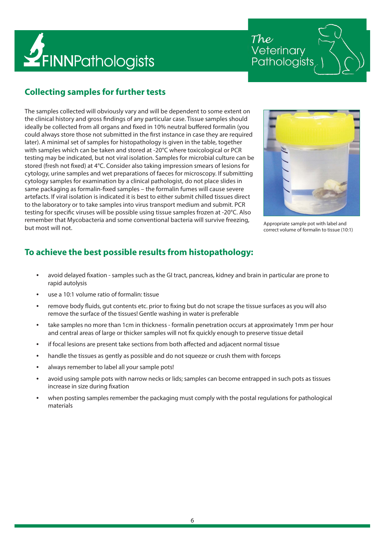

The Veterinary Pathologists

## **Collecting samples for further tests**

The samples collected will obviously vary and will be dependent to some extent on the clinical history and gross findings of any particular case. Tissue samples should ideally be collected from all organs and fixed in 10% neutral buffered formalin (you could always store those not submitted in the first instance in case they are required later). A minimal set of samples for histopathology is given in the table, together with samples which can be taken and stored at -20°C where toxicological or PCR testing may be indicated, but not viral isolation. Samples for microbial culture can be stored (fresh not fixed) at 4°C. Consider also taking impression smears of lesions for cytology, urine samples and wet preparations of faeces for microscopy. If submitting cytology samples for examination by a clinical pathologist, do not place slides in same packaging as formalin-fixed samples – the formalin fumes will cause severe artefacts. If viral isolation is indicated it is best to either submit chilled tissues direct to the laboratory or to take samples into virus transport medium and submit. PCR testing for specific viruses will be possible using tissue samples frozen at -20°C. Also remember that Mycobacteria and some conventional bacteria will survive freezing, but most will not.



Appropriate sample pot with label and correct volume of formalin to tissue (10:1)

#### **To achieve the best possible results from histopathology:**

- **•** avoid delayed fixation samples such as the GI tract, pancreas, kidney and brain in particular are prone to rapid autolysis
- **•** use a 10:1 volume ratio of formalin: tissue
- **•** remove body fluids, gut contents etc. prior to fixing but do not scrape the tissue surfaces as you will also remove the surface of the tissues! Gentle washing in water is preferable
- **•** take samples no more than 1cm in thickness formalin penetration occurs at approximately 1mm per hour and central areas of large or thicker samples will not fix quickly enough to preserve tissue detail
- **•** if focal lesions are present take sections from both affected and adjacent normal tissue
- **•** handle the tissues as gently as possible and do not squeeze or crush them with forceps
- **•** always remember to label all your sample pots!
- **•** avoid using sample pots with narrow necks or lids; samples can become entrapped in such pots as tissues increase in size during fixation
- **•** when posting samples remember the packaging must comply with the postal regulations for pathological materials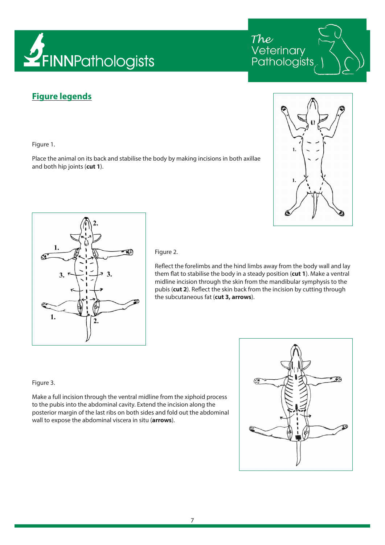

## **Figure legends**

Figure 1.

Place the animal on its back and stabilise the body by making incisions in both axillae and both hip joints (**cut 1**).



The<br>Veterinary

Pathologists



Figure 2.

Reflect the forelimbs and the hind limbs away from the body wall and lay them flat to stabilise the body in a steady position (**cut 1**). Make a ventral midline incision through the skin from the mandibular symphysis to the pubis (**cut 2**). Reflect the skin back from the incision by cutting through the subcutaneous fat (**cut 3, arrows**).

#### Figure 3.

Make a full incision through the ventral midline from the xiphoid process to the pubis into the abdominal cavity. Extend the incision along the posterior margin of the last ribs on both sides and fold out the abdominal wall to expose the abdominal viscera in situ (**arrows**).